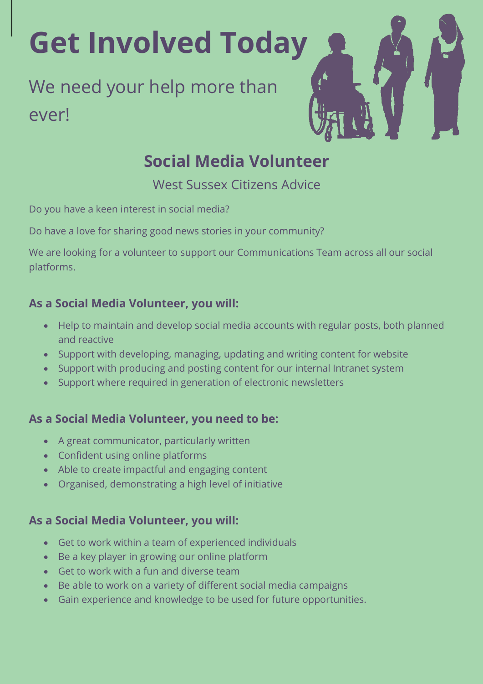# **Get Involved Today**

## We need your help more than ever!



### **Social Media Volunteer**

West Sussex Citizens Advice

Do you have a keen interest in social media?

Do have a love for sharing good news stories in your community?

We are looking for a volunteer to support our Communications Team across all our social platforms.

#### **As a Social Media Volunteer, you will:**

- Help to maintain and develop social media accounts with regular posts, both planned and reactive
- Support with developing, managing, updating and writing content for website
- Support with producing and posting content for our internal Intranet system
- Support where required in generation of electronic newsletters

#### **As a Social Media Volunteer, you need to be:**

- A great communicator, particularly written
- Confident using online platforms
- Able to create impactful and engaging content
- Organised, demonstrating a high level of initiative

#### **As a Social Media Volunteer, you will:**

- Get to work within a team of experienced individuals
- Be a key player in growing our online platform
- Get to work with a fun and diverse team
- Be able to work on a variety of different social media campaigns
- Gain experience and knowledge to be used for future opportunities.